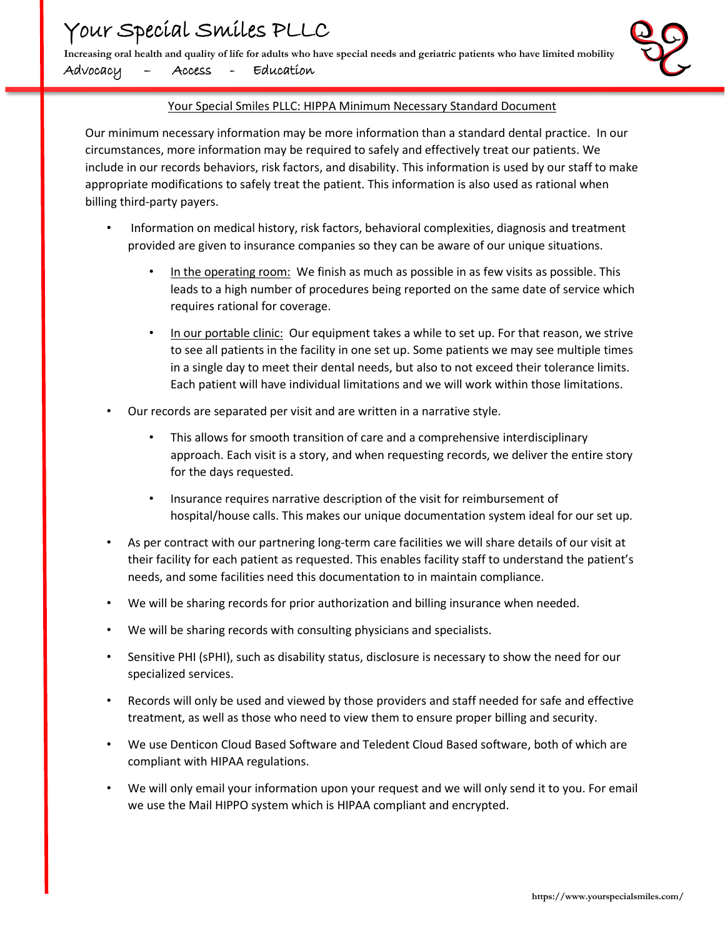**Increasing oral health and quality of life for adults who have special needs and geriatric patients who have limited mobility** Advocacy – Access - Education



## Your Special Smiles PLLC: HIPPA Minimum Necessary Standard Document

Our minimum necessary information may be more information than a standard dental practice. In our circumstances, more information may be required to safely and effectively treat our patients. We include in our records behaviors, risk factors, and disability. This information is used by our staff to make appropriate modifications to safely treat the patient. This information is also used as rational when billing third-party payers.

- Information on medical history, risk factors, behavioral complexities, diagnosis and treatment provided are given to insurance companies so they can be aware of our unique situations.
	- In the operating room: We finish as much as possible in as few visits as possible. This leads to a high number of procedures being reported on the same date of service which requires rational for coverage.
	- In our portable clinic: Our equipment takes a while to set up. For that reason, we strive to see all patients in the facility in one set up. Some patients we may see multiple times in a single day to meet their dental needs, but also to not exceed their tolerance limits. Each patient will have individual limitations and we will work within those limitations.
- Our records are separated per visit and are written in a narrative style.
	- This allows for smooth transition of care and a comprehensive interdisciplinary approach. Each visit is a story, and when requesting records, we deliver the entire story for the days requested.
	- Insurance requires narrative description of the visit for reimbursement of hospital/house calls. This makes our unique documentation system ideal for our set up.
- As per contract with our partnering long-term care facilities we will share details of our visit at their facility for each patient as requested. This enables facility staff to understand the patient's needs, and some facilities need this documentation to in maintain compliance.
- We will be sharing records for prior authorization and billing insurance when needed.
- We will be sharing records with consulting physicians and specialists.
- Sensitive PHI (sPHI), such as disability status, disclosure is necessary to show the need for our specialized services.
- Records will only be used and viewed by those providers and staff needed for safe and effective treatment, as well as those who need to view them to ensure proper billing and security.
- We use Denticon Cloud Based Software and Teledent Cloud Based software, both of which are compliant with HIPAA regulations.
- We will only email your information upon your request and we will only send it to you. For email we use the Mail HIPPO system which is HIPAA compliant and encrypted.